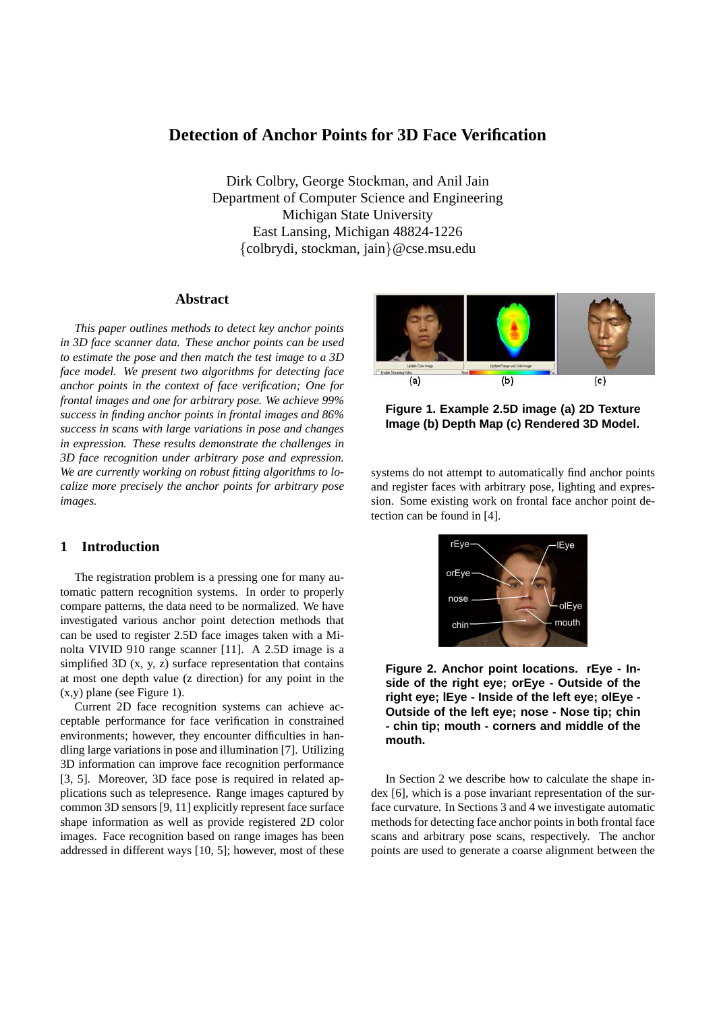# **Detection of Anchor Points for 3D Face Verification**

Dirk Colbry, George Stockman, and Anil Jain Department of Computer Science and Engineering Michigan State University East Lansing, Michigan 48824-1226 {colbrydi, stockman, jain}@cse.msu.edu

## **Abstract**

*This paper outlines methods to detect key anchor points in 3D face scanner data. These anchor points can be used to estimate the pose and then match the test image to a 3D face model. We present two algorithms for detecting face anchor points in the context of face verification; One for frontal images and one for arbitrary pose. We achieve 99% success in finding anchor points in frontal images and 86% success in scans with large variations in pose and changes in expression. These results demonstrate the challenges in 3D face recognition under arbitrary pose and expression. We are currently working on robust fitting algorithms to localize more precisely the anchor points for arbitrary pose images.*

# **1 Introduction**

The registration problem is a pressing one for many automatic pattern recognition systems. In order to properly compare patterns, the data need to be normalized. We have investigated various anchor point detection methods that can be used to register 2.5D face images taken with a Minolta VIVID 910 range scanner [11]. A 2.5D image is a simplified  $3D(x, y, z)$  surface representation that contains at most one depth value (z direction) for any point in the (x,y) plane (see Figure 1).

Current 2D face recognition systems can achieve acceptable performance for face verification in constrained environments; however, they encounter difficulties in handling large variations in pose and illumination [7]. Utilizing 3D information can improve face recognition performance [3, 5]. Moreover, 3D face pose is required in related applications such as telepresence. Range images captured by common 3D sensors [9, 11] explicitly represent face surface shape information as well as provide registered 2D color images. Face recognition based on range images has been addressed in different ways [10, 5]; however, most of these



**Figure 1. Example 2.5D image (a) 2D Texture Image (b) Depth Map (c) Rendered 3D Model.**

systems do not attempt to automatically find anchor points and register faces with arbitrary pose, lighting and expression. Some existing work on frontal face anchor point detection can be found in [4].



**Figure 2. Anchor point locations. rEye - Inside of the right eye; orEye - Outside of the right eye; lEye - Inside of the left eye; olEye - Outside of the left eye; nose - Nose tip; chin - chin tip; mouth - corners and middle of the mouth.**

In Section 2 we describe how to calculate the shape index [6], which is a pose invariant representation of the surface curvature. In Sections 3 and 4 we investigate automatic methods for detecting face anchor points in both frontal face scans and arbitrary pose scans, respectively. The anchor points are used to generate a coarse alignment between the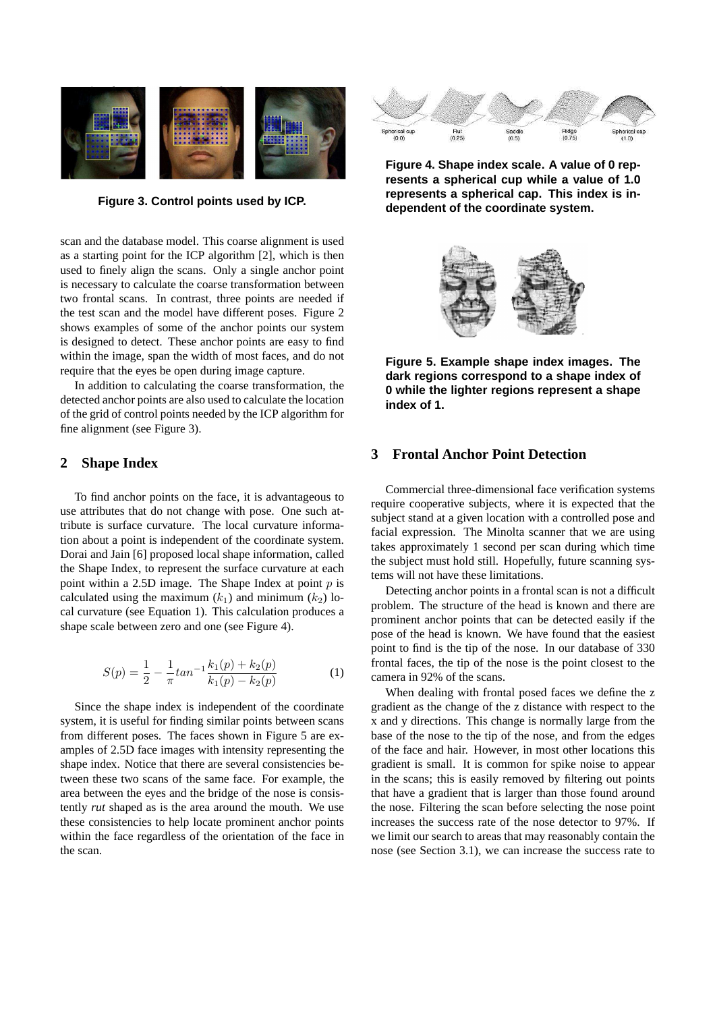

**Figure 3. Control points used by ICP.**

scan and the database model. This coarse alignment is used as a starting point for the ICP algorithm [2], which is then used to finely align the scans. Only a single anchor point is necessary to calculate the coarse transformation between two frontal scans. In contrast, three points are needed if the test scan and the model have different poses. Figure 2 shows examples of some of the anchor points our system is designed to detect. These anchor points are easy to find within the image, span the width of most faces, and do not require that the eyes be open during image capture.

In addition to calculating the coarse transformation, the detected anchor points are also used to calculate the location of the grid of control points needed by the ICP algorithm for fine alignment (see Figure 3).

# **2 Shape Index**

To find anchor points on the face, it is advantageous to use attributes that do not change with pose. One such attribute is surface curvature. The local curvature information about a point is independent of the coordinate system. Dorai and Jain [6] proposed local shape information, called the Shape Index, to represent the surface curvature at each point within a 2.5D image. The Shape Index at point  $p$  is calculated using the maximum  $(k_1)$  and minimum  $(k_2)$  local curvature (see Equation 1). This calculation produces a shape scale between zero and one (see Figure 4).

$$
S(p) = \frac{1}{2} - \frac{1}{\pi} \tan^{-1} \frac{k_1(p) + k_2(p)}{k_1(p) - k_2(p)} \tag{1}
$$

Since the shape index is independent of the coordinate system, it is useful for finding similar points between scans from different poses. The faces shown in Figure 5 are examples of 2.5D face images with intensity representing the shape index. Notice that there are several consistencies between these two scans of the same face. For example, the area between the eyes and the bridge of the nose is consistently *rut* shaped as is the area around the mouth. We use these consistencies to help locate prominent anchor points within the face regardless of the orientation of the face in the scan.



**Figure 4. Shape index scale. A value of 0 represents a spherical cup while a value of 1.0 represents a spherical cap. This index is independent of the coordinate system.**



**Figure 5. Example shape index images. The dark regions correspond to a shape index of 0 while the lighter regions represent a shape index of 1.**

# **3 Frontal Anchor Point Detection**

Commercial three-dimensional face verification systems require cooperative subjects, where it is expected that the subject stand at a given location with a controlled pose and facial expression. The Minolta scanner that we are using takes approximately 1 second per scan during which time the subject must hold still. Hopefully, future scanning systems will not have these limitations.

Detecting anchor points in a frontal scan is not a difficult problem. The structure of the head is known and there are prominent anchor points that can be detected easily if the pose of the head is known. We have found that the easiest point to find is the tip of the nose. In our database of 330 frontal faces, the tip of the nose is the point closest to the camera in 92% of the scans.

When dealing with frontal posed faces we define the z gradient as the change of the z distance with respect to the x and y directions. This change is normally large from the base of the nose to the tip of the nose, and from the edges of the face and hair. However, in most other locations this gradient is small. It is common for spike noise to appear in the scans; this is easily removed by filtering out points that have a gradient that is larger than those found around the nose. Filtering the scan before selecting the nose point increases the success rate of the nose detector to 97%. If we limit our search to areas that may reasonably contain the nose (see Section 3.1), we can increase the success rate to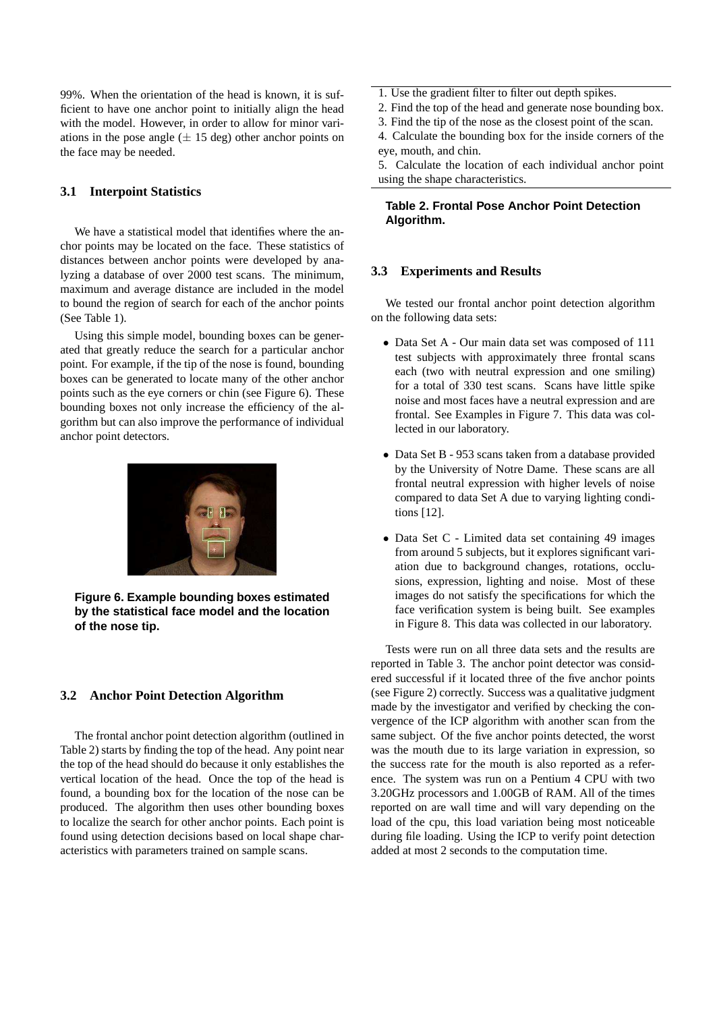99%. When the orientation of the head is known, it is sufficient to have one anchor point to initially align the head with the model. However, in order to allow for minor variations in the pose angle  $(\pm 15 \text{ deg})$  other anchor points on the face may be needed.

# **3.1 Interpoint Statistics**

We have a statistical model that identifies where the anchor points may be located on the face. These statistics of distances between anchor points were developed by analyzing a database of over 2000 test scans. The minimum, maximum and average distance are included in the model to bound the region of search for each of the anchor points (See Table 1).

Using this simple model, bounding boxes can be generated that greatly reduce the search for a particular anchor point. For example, if the tip of the nose is found, bounding boxes can be generated to locate many of the other anchor points such as the eye corners or chin (see Figure 6). These bounding boxes not only increase the efficiency of the algorithm but can also improve the performance of individual anchor point detectors.



**Figure 6. Example bounding boxes estimated by the statistical face model and the location of the nose tip.**

## **3.2 Anchor Point Detection Algorithm**

The frontal anchor point detection algorithm (outlined in Table 2) starts by finding the top of the head. Any point near the top of the head should do because it only establishes the vertical location of the head. Once the top of the head is found, a bounding box for the location of the nose can be produced. The algorithm then uses other bounding boxes to localize the search for other anchor points. Each point is found using detection decisions based on local shape characteristics with parameters trained on sample scans.

- 1. Use the gradient filter to filter out depth spikes.
- 2. Find the top of the head and generate nose bounding box.
- 3. Find the tip of the nose as the closest point of the scan.

4. Calculate the bounding box for the inside corners of the eye, mouth, and chin.

5. Calculate the location of each individual anchor point using the shape characteristics.

# **Table 2. Frontal Pose Anchor Point Detection Algorithm.**

### **3.3 Experiments and Results**

We tested our frontal anchor point detection algorithm on the following data sets:

- Data Set A Our main data set was composed of 111 test subjects with approximately three frontal scans each (two with neutral expression and one smiling) for a total of 330 test scans. Scans have little spike noise and most faces have a neutral expression and are frontal. See Examples in Figure 7. This data was collected in our laboratory.
- Data Set B 953 scans taken from a database provided by the University of Notre Dame. These scans are all frontal neutral expression with higher levels of noise compared to data Set A due to varying lighting conditions [12].
- Data Set C Limited data set containing 49 images from around 5 subjects, but it explores significant variation due to background changes, rotations, occlusions, expression, lighting and noise. Most of these images do not satisfy the specifications for which the face verification system is being built. See examples in Figure 8. This data was collected in our laboratory.

Tests were run on all three data sets and the results are reported in Table 3. The anchor point detector was considered successful if it located three of the five anchor points (see Figure 2) correctly. Success was a qualitative judgment made by the investigator and verified by checking the convergence of the ICP algorithm with another scan from the same subject. Of the five anchor points detected, the worst was the mouth due to its large variation in expression, so the success rate for the mouth is also reported as a reference. The system was run on a Pentium 4 CPU with two 3.20GHz processors and 1.00GB of RAM. All of the times reported on are wall time and will vary depending on the load of the cpu, this load variation being most noticeable during file loading. Using the ICP to verify point detection added at most 2 seconds to the computation time.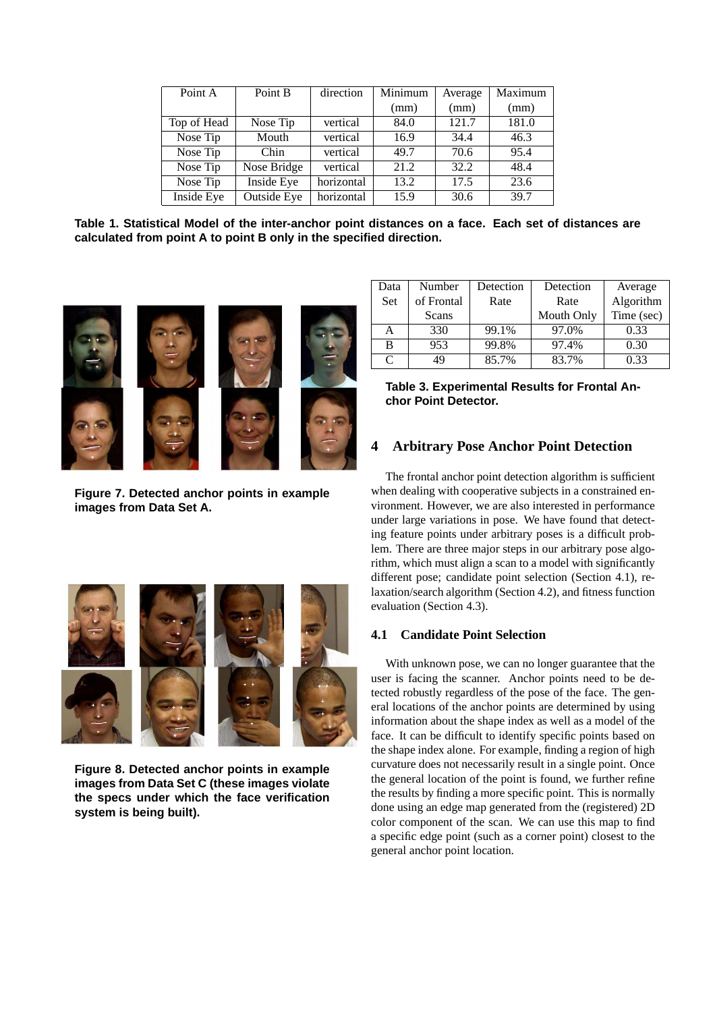| Point A     | Point B     | direction  | Minimum | Average | Maximum |
|-------------|-------------|------------|---------|---------|---------|
|             |             |            | (mm)    | (mm)    | (mm)    |
| Top of Head | Nose Tip    | vertical   | 84.0    | 121.7   | 181.0   |
| Nose Tip    | Mouth       | vertical   | 16.9    | 34.4    | 46.3    |
| Nose Tip    | Chin        | vertical   | 49.7    | 70.6    | 95.4    |
| Nose Tip    | Nose Bridge | vertical   | 21.2    | 32.2    | 48.4    |
| Nose Tip    | Inside Eye  | horizontal | 13.2    | 17.5    | 23.6    |
| Inside Eye  | Outside Eye | horizontal | 15.9    | 30.6    | 39.7    |

**Table 1. Statistical Model of the inter-anchor point distances on a face. Each set of distances are calculated from point A to point B only in the specified direction.**



**Figure 7. Detected anchor points in example images from Data Set A.**



**Figure 8. Detected anchor points in example images from Data Set C (these images violate the specs under which the face verification system is being built).**

| Data       | Number     | Detection | Detection  | Average    |
|------------|------------|-----------|------------|------------|
| <b>Set</b> | of Frontal | Rate      | Rate       | Algorithm  |
|            | Scans      |           | Mouth Only | Time (sec) |
| А          | 330        | 99.1%     | 97.0%      | 0.33       |
| B          | 953        | 99.8%     | 97.4%      | 0.30       |
| C          | 49         | 85.7%     | 83.7%      | 0.33       |

**Table 3. Experimental Results for Frontal Anchor Point Detector.**

# **4 Arbitrary Pose Anchor Point Detection**

The frontal anchor point detection algorithm is sufficient when dealing with cooperative subjects in a constrained environment. However, we are also interested in performance under large variations in pose. We have found that detecting feature points under arbitrary poses is a difficult problem. There are three major steps in our arbitrary pose algorithm, which must align a scan to a model with significantly different pose; candidate point selection (Section 4.1), relaxation/search algorithm (Section 4.2), and fitness function evaluation (Section 4.3).

### **4.1 Candidate Point Selection**

With unknown pose, we can no longer guarantee that the user is facing the scanner. Anchor points need to be detected robustly regardless of the pose of the face. The general locations of the anchor points are determined by using information about the shape index as well as a model of the face. It can be difficult to identify specific points based on the shape index alone. For example, finding a region of high curvature does not necessarily result in a single point. Once the general location of the point is found, we further refine the results by finding a more specific point. This is normally done using an edge map generated from the (registered) 2D color component of the scan. We can use this map to find a specific edge point (such as a corner point) closest to the general anchor point location.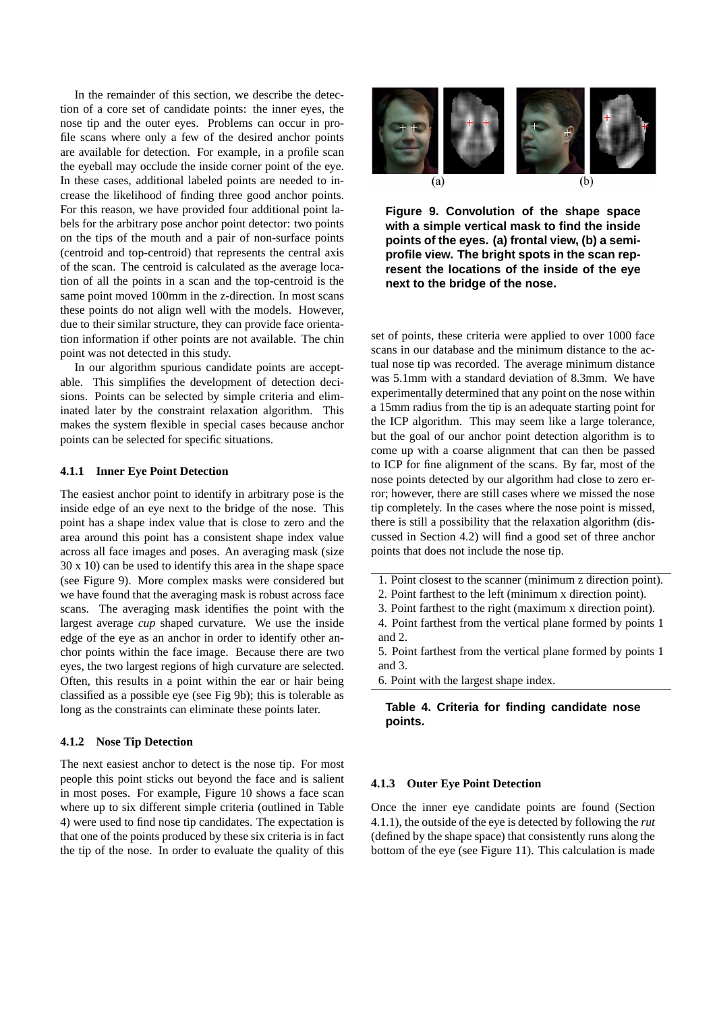In the remainder of this section, we describe the detection of a core set of candidate points: the inner eyes, the nose tip and the outer eyes. Problems can occur in profile scans where only a few of the desired anchor points are available for detection. For example, in a profile scan the eyeball may occlude the inside corner point of the eye. In these cases, additional labeled points are needed to increase the likelihood of finding three good anchor points. For this reason, we have provided four additional point labels for the arbitrary pose anchor point detector: two points on the tips of the mouth and a pair of non-surface points (centroid and top-centroid) that represents the central axis of the scan. The centroid is calculated as the average location of all the points in a scan and the top-centroid is the same point moved 100mm in the z-direction. In most scans these points do not align well with the models. However, due to their similar structure, they can provide face orientation information if other points are not available. The chin point was not detected in this study.

In our algorithm spurious candidate points are acceptable. This simplifies the development of detection decisions. Points can be selected by simple criteria and eliminated later by the constraint relaxation algorithm. This makes the system flexible in special cases because anchor points can be selected for specific situations.

#### **4.1.1 Inner Eye Point Detection**

The easiest anchor point to identify in arbitrary pose is the inside edge of an eye next to the bridge of the nose. This point has a shape index value that is close to zero and the area around this point has a consistent shape index value across all face images and poses. An averaging mask (size 30 x 10) can be used to identify this area in the shape space (see Figure 9). More complex masks were considered but we have found that the averaging mask is robust across face scans. The averaging mask identifies the point with the largest average *cup* shaped curvature. We use the inside edge of the eye as an anchor in order to identify other anchor points within the face image. Because there are two eyes, the two largest regions of high curvature are selected. Often, this results in a point within the ear or hair being classified as a possible eye (see Fig 9b); this is tolerable as long as the constraints can eliminate these points later.

### **4.1.2 Nose Tip Detection**

The next easiest anchor to detect is the nose tip. For most people this point sticks out beyond the face and is salient in most poses. For example, Figure 10 shows a face scan where up to six different simple criteria (outlined in Table 4) were used to find nose tip candidates. The expectation is that one of the points produced by these six criteria is in fact the tip of the nose. In order to evaluate the quality of this



**Figure 9. Convolution of the shape space with a simple vertical mask to find the inside points of the eyes. (a) frontal view, (b) a semiprofile view. The bright spots in the scan represent the locations of the inside of the eye next to the bridge of the nose.**

set of points, these criteria were applied to over 1000 face scans in our database and the minimum distance to the actual nose tip was recorded. The average minimum distance was 5.1mm with a standard deviation of 8.3mm. We have experimentally determined that any point on the nose within a 15mm radius from the tip is an adequate starting point for the ICP algorithm. This may seem like a large tolerance, but the goal of our anchor point detection algorithm is to come up with a coarse alignment that can then be passed to ICP for fine alignment of the scans. By far, most of the nose points detected by our algorithm had close to zero error; however, there are still cases where we missed the nose tip completely. In the cases where the nose point is missed, there is still a possibility that the relaxation algorithm (discussed in Section 4.2) will find a good set of three anchor points that does not include the nose tip.

- 1. Point closest to the scanner (minimum z direction point).
- 2. Point farthest to the left (minimum x direction point).
- 3. Point farthest to the right (maximum x direction point).
- 4. Point farthest from the vertical plane formed by points 1 and 2.
- 5. Point farthest from the vertical plane formed by points 1 and 3.
- 6. Point with the largest shape index.

**Table 4. Criteria for finding candidate nose points.**

## **4.1.3 Outer Eye Point Detection**

Once the inner eye candidate points are found (Section 4.1.1), the outside of the eye is detected by following the *rut* (defined by the shape space) that consistently runs along the bottom of the eye (see Figure 11). This calculation is made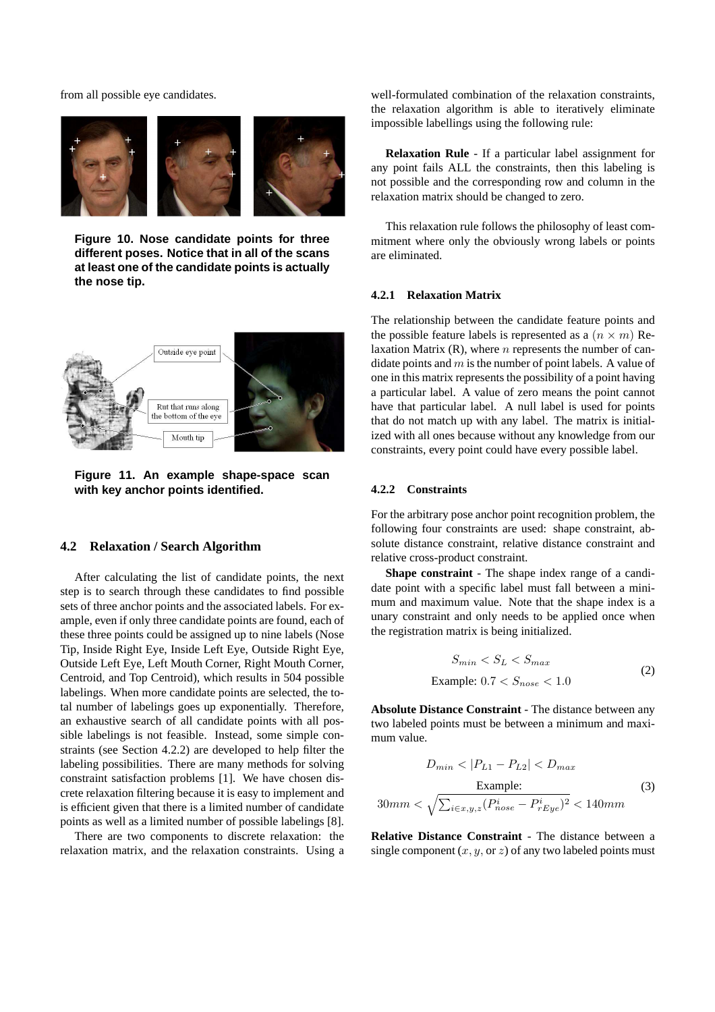from all possible eye candidates.



**Figure 10. Nose candidate points for three different poses. Notice that in all of the scans at least one of the candidate points is actually the nose tip.**



**Figure 11. An example shape-space scan with key anchor points identified.**

### **4.2 Relaxation / Search Algorithm**

After calculating the list of candidate points, the next step is to search through these candidates to find possible sets of three anchor points and the associated labels. For example, even if only three candidate points are found, each of these three points could be assigned up to nine labels (Nose Tip, Inside Right Eye, Inside Left Eye, Outside Right Eye, Outside Left Eye, Left Mouth Corner, Right Mouth Corner, Centroid, and Top Centroid), which results in 504 possible labelings. When more candidate points are selected, the total number of labelings goes up exponentially. Therefore, an exhaustive search of all candidate points with all possible labelings is not feasible. Instead, some simple constraints (see Section 4.2.2) are developed to help filter the labeling possibilities. There are many methods for solving constraint satisfaction problems [1]. We have chosen discrete relaxation filtering because it is easy to implement and is efficient given that there is a limited number of candidate points as well as a limited number of possible labelings [8].

There are two components to discrete relaxation: the relaxation matrix, and the relaxation constraints. Using a well-formulated combination of the relaxation constraints, the relaxation algorithm is able to iteratively eliminate impossible labellings using the following rule:

**Relaxation Rule** - If a particular label assignment for any point fails ALL the constraints, then this labeling is not possible and the corresponding row and column in the relaxation matrix should be changed to zero.

This relaxation rule follows the philosophy of least commitment where only the obviously wrong labels or points are eliminated.

### **4.2.1 Relaxation Matrix**

The relationship between the candidate feature points and the possible feature labels is represented as a  $(n \times m)$  Relaxation Matrix  $(R)$ , where *n* represents the number of candidate points and  $m$  is the number of point labels. A value of one in this matrix represents the possibility of a point having a particular label. A value of zero means the point cannot have that particular label. A null label is used for points that do not match up with any label. The matrix is initialized with all ones because without any knowledge from our constraints, every point could have every possible label.

#### **4.2.2 Constraints**

For the arbitrary pose anchor point recognition problem, the following four constraints are used: shape constraint, absolute distance constraint, relative distance constraint and relative cross-product constraint.

**Shape constraint** - The shape index range of a candidate point with a specific label must fall between a minimum and maximum value. Note that the shape index is a unary constraint and only needs to be applied once when the registration matrix is being initialized.

$$
S_{min} < S_L < S_{max}
$$
\nExample:  $0.7 < S_{nose} < 1.0$ 

\n(2)

**Absolute Distance Constraint** - The distance between any two labeled points must be between a minimum and maximum value.

$$
D_{min} < |P_{L1} - P_{L2}| < D_{max}
$$
\nExample:

\n30mm < 
$$
\sqrt{\sum_{i \in x, y, z} (P_{nose}^i - P_{rEye}^i)^2} < 140 \, \text{mm}
$$

\n(3)

**Relative Distance Constraint** - The distance between a single component  $(x, y, \text{or } z)$  of any two labeled points must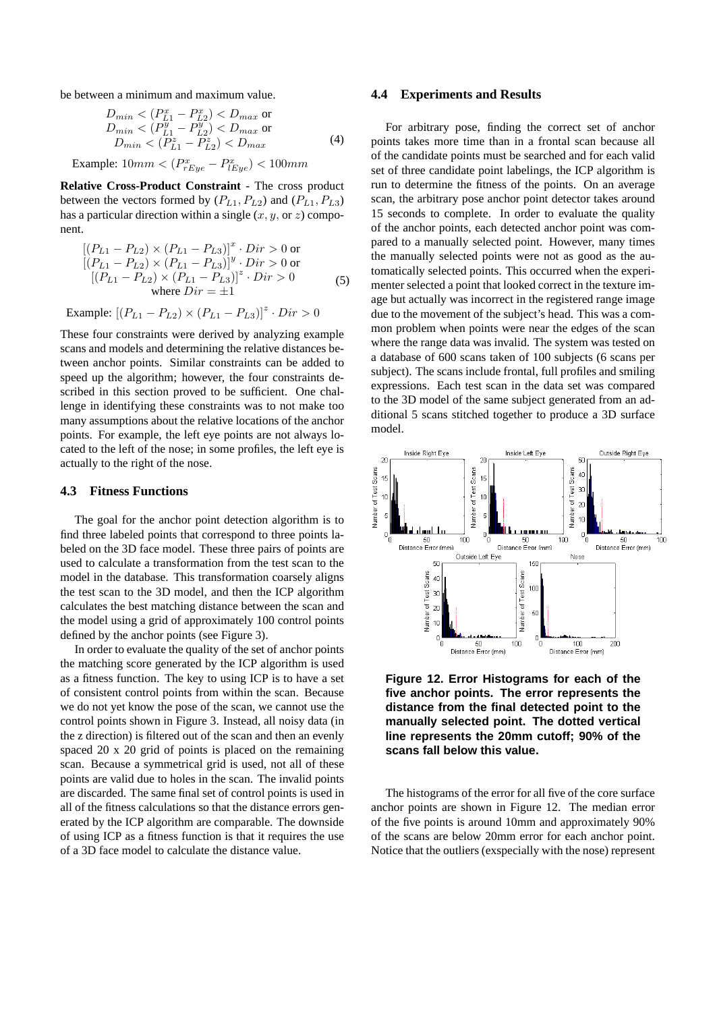be between a minimum and maximum value.

$$
D_{min} < (P_{L1}^x - P_{L2}^x) < D_{max} \text{ or}
$$
\n
$$
D_{min} < (P_{L1}^y - P_{L2}^y) < D_{max} \text{ or}
$$
\n
$$
D_{min} < (P_{L1}^z - P_{L2}^z) < D_{max} \tag{4}
$$

Example:  $10mm < (P_{rEye}^x - P_{lEye}^x) < 100mm$ 

**Relative Cross-Product Constraint** - The cross product between the vectors formed by  $(P_{L1}, P_{L2})$  and  $(P_{L1}, P_{L3})$ has a particular direction within a single  $(x, y, \text{ or } z)$  component.

$$
[(P_{L1} - P_{L2}) \times (P_{L1} - P_{L3})]^T \cdot Dir > 0 \text{ or}
$$
  
\n
$$
[(P_{L1} - P_{L2}) \times (P_{L1} - P_{L3})]^y \cdot Dir > 0 \text{ or}
$$
  
\n
$$
[(P_{L1} - P_{L2}) \times (P_{L1} - P_{L3})]^z \cdot Dir > 0
$$
  
\nwhere  $Dir = \pm 1$  (5)

Example:  $[(P_{L1} - P_{L2}) \times (P_{L1} - P_{L3})]^z \cdot Dir > 0$ 

These four constraints were derived by analyzing example scans and models and determining the relative distances between anchor points. Similar constraints can be added to speed up the algorithm; however, the four constraints described in this section proved to be sufficient. One challenge in identifying these constraints was to not make too many assumptions about the relative locations of the anchor points. For example, the left eye points are not always located to the left of the nose; in some profiles, the left eye is actually to the right of the nose.

### **4.3 Fitness Functions**

The goal for the anchor point detection algorithm is to find three labeled points that correspond to three points labeled on the 3D face model. These three pairs of points are used to calculate a transformation from the test scan to the model in the database. This transformation coarsely aligns the test scan to the 3D model, and then the ICP algorithm calculates the best matching distance between the scan and the model using a grid of approximately 100 control points defined by the anchor points (see Figure 3).

In order to evaluate the quality of the set of anchor points the matching score generated by the ICP algorithm is used as a fitness function. The key to using ICP is to have a set of consistent control points from within the scan. Because we do not yet know the pose of the scan, we cannot use the control points shown in Figure 3. Instead, all noisy data (in the z direction) is filtered out of the scan and then an evenly spaced 20 x 20 grid of points is placed on the remaining scan. Because a symmetrical grid is used, not all of these points are valid due to holes in the scan. The invalid points are discarded. The same final set of control points is used in all of the fitness calculations so that the distance errors generated by the ICP algorithm are comparable. The downside of using ICP as a fitness function is that it requires the use of a 3D face model to calculate the distance value.

#### **4.4 Experiments and Results**

For arbitrary pose, finding the correct set of anchor points takes more time than in a frontal scan because all of the candidate points must be searched and for each valid set of three candidate point labelings, the ICP algorithm is run to determine the fitness of the points. On an average scan, the arbitrary pose anchor point detector takes around 15 seconds to complete. In order to evaluate the quality of the anchor points, each detected anchor point was compared to a manually selected point. However, many times the manually selected points were not as good as the automatically selected points. This occurred when the experimenter selected a point that looked correct in the texture image but actually was incorrect in the registered range image due to the movement of the subject's head. This was a common problem when points were near the edges of the scan where the range data was invalid. The system was tested on a database of 600 scans taken of 100 subjects (6 scans per subject). The scans include frontal, full profiles and smiling expressions. Each test scan in the data set was compared to the 3D model of the same subject generated from an additional 5 scans stitched together to produce a 3D surface model.



**Figure 12. Error Histograms for each of the five anchor points. The error represents the distance from the final detected point to the manually selected point. The dotted vertical line represents the 20mm cutoff; 90% of the scans fall below this value.**

The histograms of the error for all five of the core surface anchor points are shown in Figure 12. The median error of the five points is around 10mm and approximately 90% of the scans are below 20mm error for each anchor point. Notice that the outliers (exspecially with the nose) represent